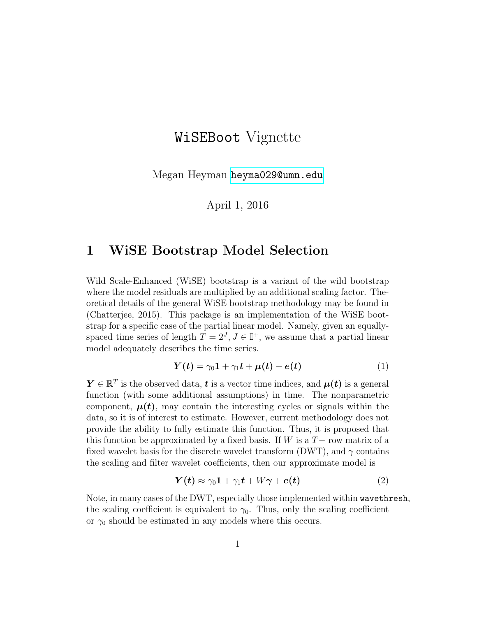# WiSEBoot Vignette

Megan Heyman <heyma029@umn.edu>

April 1, 2016

#### <span id="page-0-1"></span>1 WiSE Bootstrap Model Selection

Wild Scale-Enhanced (WiSE) bootstrap is a variant of the wild bootstrap where the model residuals are multiplied by an additional scaling factor. Theoretical details of the general WiSE bootstrap methodology may be found in (Chatterjee, 2015). This package is an implementation of the WiSE bootstrap for a specific case of the partial linear model. Namely, given an equallyspaced time series of length  $T = 2<sup>J</sup>$ ,  $J \in \mathbb{I}^+$ , we assume that a partial linear model adequately describes the time series.

<span id="page-0-2"></span>
$$
Y(t) = \gamma_0 \mathbf{1} + \gamma_1 t + \mu(t) + e(t)
$$
 (1)

 $Y \in \mathbb{R}^T$  is the observed data, **t** is a vector time indices, and  $\mu(t)$  is a general function (with some additional assumptions) in time. The nonparametric component,  $\mu(t)$ , may contain the interesting cycles or signals within the data, so it is of interest to estimate. However, current methodology does not provide the ability to fully estimate this function. Thus, it is proposed that this function be approximated by a fixed basis. If W is a  $T-$  row matrix of a fixed wavelet basis for the discrete wavelet transform (DWT), and  $\gamma$  contains the scaling and filter wavelet coefficients, then our approximate model is

<span id="page-0-0"></span>
$$
\boldsymbol{Y}(t) \approx \gamma_0 \mathbf{1} + \gamma_1 t + W \boldsymbol{\gamma} + \boldsymbol{e}(t) \tag{2}
$$

Note, in many cases of the DWT, especially those implemented within wavethresh, the scaling coefficient is equivalent to  $\gamma_0$ . Thus, only the scaling coefficient or  $\gamma_0$  should be estimated in any models where this occurs.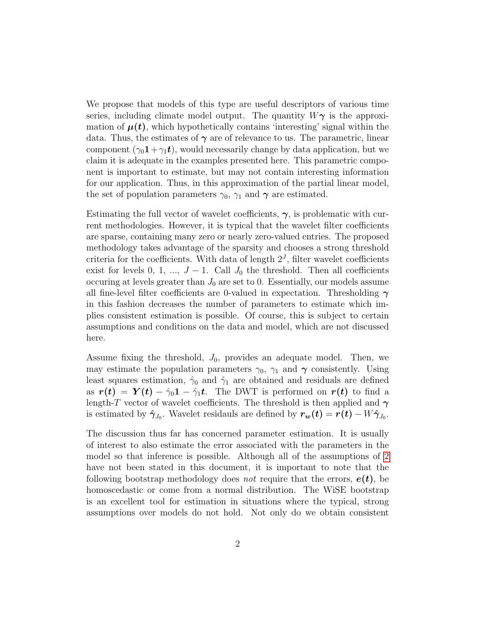We propose that models of this type are useful descriptors of various time series, including climate model output. The quantity  $W\gamma$  is the approximation of  $\mu(t)$ , which hypothetically contains 'interesting' signal within the data. Thus, the estimates of  $\gamma$  are of relevance to us. The parametric, linear component  $(\gamma_0 \mathbf{1} + \gamma_1 t)$ , would necessarily change by data application, but we claim it is adequate in the examples presented here. This parametric component is important to estimate, but may not contain interesting information for our application. Thus, in this approximation of the partial linear model, the set of population parameters  $\gamma_0$ ,  $\gamma_1$  and  $\gamma$  are estimated.

Estimating the full vector of wavelet coefficients,  $\gamma$ , is problematic with current methodologies. However, it is typical that the wavelet filter coefficients are sparse, containing many zero or nearly zero-valued entries. The proposed methodology takes advantage of the sparsity and chooses a strong threshold criteria for the coefficients. With data of length  $2<sup>J</sup>$ , filter wavelet coefficients exist for levels 0, 1, ...,  $J-1$ . Call  $J_0$  the threshold. Then all coefficients occuring at levels greater than  $J_0$  are set to 0. Essentially, our models assume all fine-level filter coefficients are 0-valued in expectation. Thresholding  $\gamma$ in this fashion decreases the number of parameters to estimate which implies consistent estimation is possible. Of course, this is subject to certain assumptions and conditions on the data and model, which are not discussed here.

Assume fixing the threshold,  $J_0$ , provides an adequate model. Then, we may estimate the population parameters  $\gamma_0$ ,  $\gamma_1$  and  $\gamma$  consistently. Using least squares estimation,  $\hat{\gamma}_0$  and  $\hat{\gamma}_1$  are obtained and residuals are defined as  $r(t) = Y(t) - \hat{\gamma}_0 \mathbf{1} - \hat{\gamma}_1 t$ . The DWT is performed on  $r(t)$  to find a length-T vector of wavelet coefficients. The threshold is then applied and  $\gamma$ is estimated by  $\hat{\gamma}_{J_0}$ . Wavelet residauls are defined by  $r_w(t) = r(t) - W\hat{\gamma}_{J_0}$ .

The discussion thus far has concerned parameter estimation. It is usually of interest to also estimate the error associated with the parameters in the model so that inference is possible. Although all of the assumptions of [2](#page-0-0) have not been stated in this document, it is important to note that the following bootstrap methodology does *not* require that the errors,  $e(t)$ , be homoscedastic or come from a normal distribution. The WiSE bootstrap is an excellent tool for estimation in situations where the typical, strong assumptions over models do not hold. Not only do we obtain consistent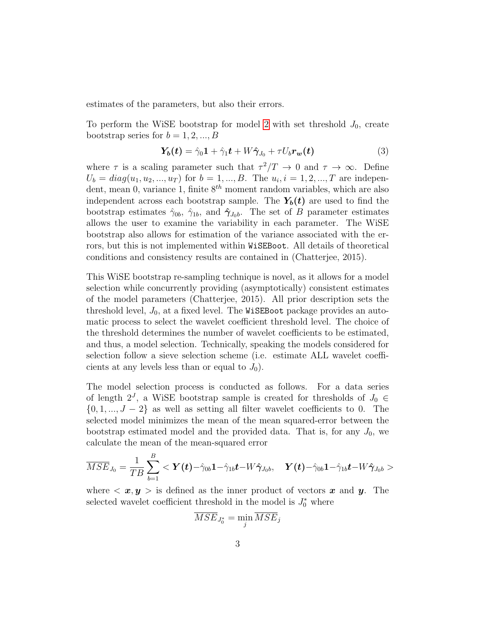estimates of the parameters, but also their errors.

To perform the WiSE bootstrap for model [2](#page-0-0) with set threshold  $J_0$ , create bootstrap series for  $b = 1, 2, ..., B$ 

$$
Y_b(t) = \hat{\gamma}_0 1 + \hat{\gamma}_1 t + W \hat{\gamma}_{J_0} + \tau U_b r_w(t) \tag{3}
$$

where  $\tau$  is a scaling parameter such that  $\tau^2/T \to 0$  and  $\tau \to \infty$ . Define  $U_b = diag(u_1, u_2, ..., u_T)$  for  $b = 1, ..., B$ . The  $u_i, i = 1, 2, ..., T$  are independent, mean 0, variance 1, finite  $8^{th}$  moment random variables, which are also independent across each bootstrap sample. The  $Y_b(t)$  are used to find the bootstrap estimates  $\hat{\gamma}_{0b}$ ,  $\hat{\gamma}_{1b}$ , and  $\hat{\gamma}_{J_0b}$ . The set of B parameter estimates allows the user to examine the variability in each parameter. The WiSE bootstrap also allows for estimation of the variance associated with the errors, but this is not implemented within WiSEBoot. All details of theoretical conditions and consistency results are contained in (Chatterjee, 2015).

This WiSE bootstrap re-sampling technique is novel, as it allows for a model selection while concurrently providing (asymptotically) consistent estimates of the model parameters (Chatterjee, 2015). All prior description sets the threshold level,  $J_0$ , at a fixed level. The WiSEBoot package provides an automatic process to select the wavelet coefficient threshold level. The choice of the threshold determines the number of wavelet coefficients to be estimated, and thus, a model selection. Technically, speaking the models considered for selection follow a sieve selection scheme (i.e. estimate ALL wavelet coefficients at any levels less than or equal to  $J_0$ ).

The model selection process is conducted as follows. For a data series of length  $2^J$ , a WiSE bootstrap sample is created for thresholds of  $J_0 \in$  $\{0, 1, ..., J - 2\}$  as well as setting all filter wavelet coefficients to 0. The selected model minimizes the mean of the mean squared-error between the bootstrap estimated model and the provided data. That is, for any  $J_0$ , we calculate the mean of the mean-squared error

$$
\overline{MSE}_{J_0}=\frac{1}{TB}\sum_{b=1}^B<\boldsymbol{Y(t)}-\hat{\gamma}_{0b}\boldsymbol{1}-\hat{\gamma}_{1b}\boldsymbol{t}-W\boldsymbol{\hat{\gamma}}_{J_0b},\quad \boldsymbol{Y(t)}-\hat{\gamma}_{0b}\boldsymbol{1}-\hat{\gamma}_{1b}\boldsymbol{t}-W\boldsymbol{\hat{\gamma}}_{J_0b}>
$$

where  $\langle x, y \rangle$  is defined as the inner product of vectors x and y. The selected wavelet coefficient threshold in the model is  $J_0^*$  where

$$
\overline{MSE}_{J_0^*} = \min_j \overline{MSE}_j
$$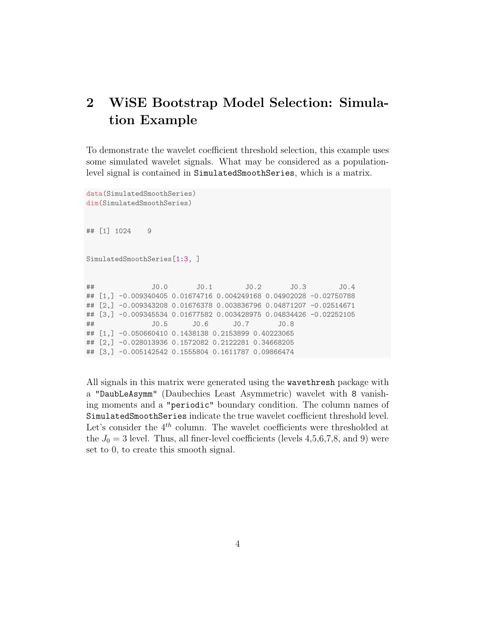### 2 WiSE Bootstrap Model Selection: Simulation Example

To demonstrate the wavelet coefficient threshold selection, this example uses some simulated wavelet signals. What may be considered as a populationlevel signal is contained in SimulatedSmoothSeries, which is a matrix.

```
data(SimulatedSmoothSeries)
dim(SimulatedSmoothSeries)
## [1] 1024 9
SimulatedSmoothSeries[1:3, ]
## J0.0 J0.1 J0.2 J0.3 J0.4
## [1,] -0.009340405 0.01674716 0.004249168 0.04902028 -0.02750788
## [2,] -0.009343208 0.01676378 0.003836796 0.04871207 -0.02514671
## [3,] -0.009345534 0.01677582 0.003428975 0.04834426 -0.02252105
## J0.5 J0.6 J0.7 J0.8
## [1,] -0.050660410 0.1438138 0.2153899 0.40223065
## [2,] -0.028013936 0.1572082 0.2122281 0.34668205
## [3,] -0.005142542 0.1555804 0.1611787 0.09866474
```
All signals in this matrix were generated using the wavethresh package with a "DaubLeAsymm" (Daubechies Least Asymmetric) wavelet with 8 vanishing moments and a "periodic" boundary condition. The column names of SimulatedSmoothSeries indicate the true wavelet coefficient threshold level. Let's consider the  $4<sup>th</sup>$  column. The wavelet coefficients were thresholded at the  $J_0 = 3$  level. Thus, all finer-level coefficients (levels 4,5,6,7,8, and 9) were set to 0, to create this smooth signal.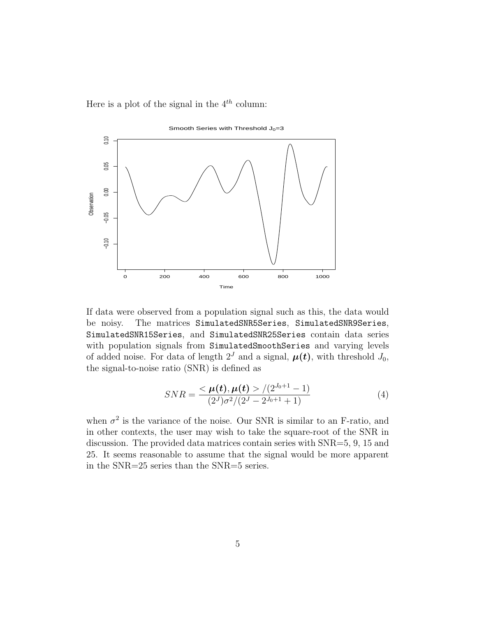Here is a plot of the signal in the  $4^{th}$  column:



If data were observed from a population signal such as this, the data would be noisy. The matrices SimulatedSNR5Series, SimulatedSNR9Series, SimulatedSNR15Series, and SimulatedSNR25Series contain data series with population signals from SimulatedSmoothSeries and varying levels of added noise. For data of length  $2^J$  and a signal,  $\mu(t)$ , with threshold  $J_0$ , the signal-to-noise ratio (SNR) is defined as

$$
SNR = \frac{<\mu(t), \mu(t) > / (2^{J_0+1} - 1)}{(2^J)\sigma^2/(2^J - 2^{J_0+1} + 1)}
$$
(4)

when  $\sigma^2$  is the variance of the noise. Our SNR is similar to an F-ratio, and in other contexts, the user may wish to take the square-root of the SNR in discussion. The provided data matrices contain series with SNR=5, 9, 15 and 25. It seems reasonable to assume that the signal would be more apparent in the SNR=25 series than the SNR=5 series.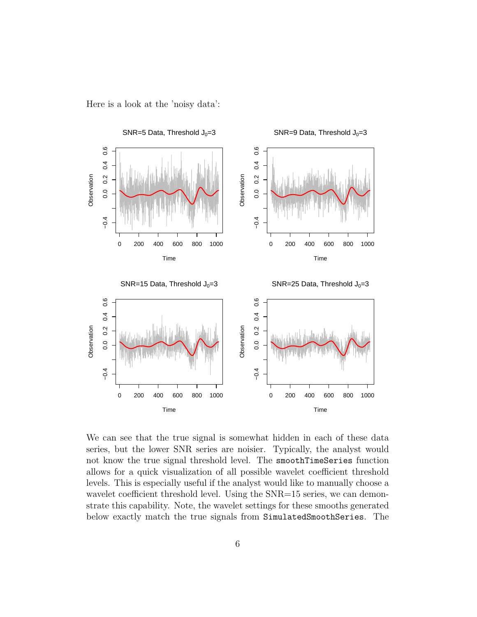Here is a look at the 'noisy data':



We can see that the true signal is somewhat hidden in each of these data series, but the lower SNR series are noisier. Typically, the analyst would not know the true signal threshold level. The smoothTimeSeries function allows for a quick visualization of all possible wavelet coefficient threshold levels. This is especially useful if the analyst would like to manually choose a wavelet coefficient threshold level. Using the SNR=15 series, we can demonstrate this capability. Note, the wavelet settings for these smooths generated below exactly match the true signals from SimulatedSmoothSeries. The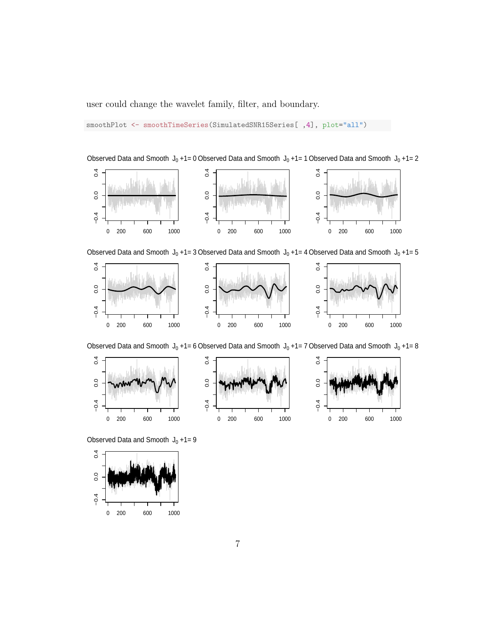user could change the wavelet family, filter, and boundary.

smoothPlot <- smoothTimeSeries(SimulatedSNR15Series[ ,4], plot="all")





Observed Data and Smooth  $\rm\,J_{0}$  +1= 3 Observed Data and Smooth  $\rm\,J_{0}$  +1= 4 Observed Data and Smooth  $\rm\,J_{0}$  +1= 5



Observed Data and Smooth  $\mathsf{J}_0$  +1= 6 Observed Data and Smooth  $\mathsf{J}_0$  +1= 7 Observed Data and Smooth  $\mathsf{J}_0$  +1= 8



Observed Data and Smooth  $J_0 + 1 = 9$ 

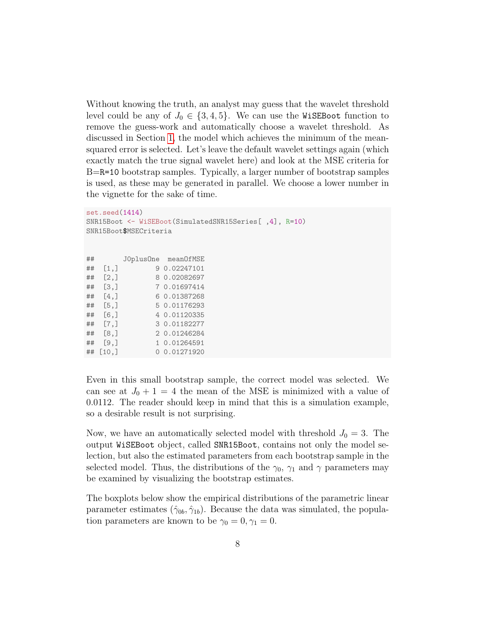Without knowing the truth, an analyst may guess that the wavelet threshold level could be any of  $J_0 \in \{3, 4, 5\}$ . We can use the WiSEBoot function to remove the guess-work and automatically choose a wavelet threshold. As discussed in Section [1,](#page-0-1) the model which achieves the minimum of the meansquared error is selected. Let's leave the default wavelet settings again (which exactly match the true signal wavelet here) and look at the MSE criteria for B=R=10 bootstrap samples. Typically, a larger number of bootstrap samples is used, as these may be generated in parallel. We choose a lower number in the vignette for the sake of time.

```
set.seed(1414)
SNR15Boot <- WiSEBoot(SimulatedSNR15Series[ ,4], R=10)
SNR15Boot$MSECriteria
## J0plusOne meanOfMSE
## [1,] 9 0.02247101
## [2,] 8 0.02082697
## [3,] 7 0.01697414
## [4,] 6 0.01387268
## [5,] 5 0.01176293
## [6,] 4 0.01120335
## [7,] 3 0.01182277
## [8,] 2 0.01246284
## [9,] 1 0.01264591
## [10,] 0 0.01271920
```
Even in this small bootstrap sample, the correct model was selected. We can see at  $J_0 + 1 = 4$  the mean of the MSE is minimized with a value of 0.0112. The reader should keep in mind that this is a simulation example, so a desirable result is not surprising.

Now, we have an automatically selected model with threshold  $J_0 = 3$ . The output WiSEBoot object, called SNR15Boot, contains not only the model selection, but also the estimated parameters from each bootstrap sample in the selected model. Thus, the distributions of the  $\gamma_0$ ,  $\gamma_1$  and  $\gamma$  parameters may be examined by visualizing the bootstrap estimates.

The boxplots below show the empirical distributions of the parametric linear parameter estimates  $(\hat{\gamma}_{0b}, \hat{\gamma}_{1b})$ . Because the data was simulated, the population parameters are known to be  $\gamma_0 = 0, \gamma_1 = 0$ .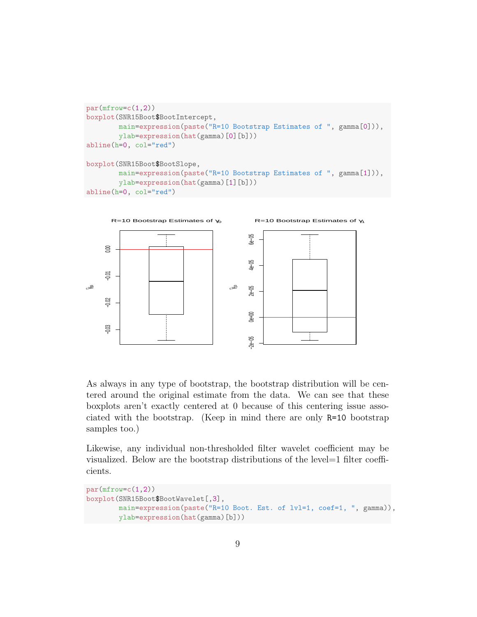```
par(mfrow=c(1,2))boxplot(SNR15Boot$BootIntercept,
       main=expression(paste("R=10 Bootstrap Estimates of ", gamma[0])),
       ylab=expression(hat(gamma)[0][b]))
abline(h=0, col="red")
boxplot(SNR15Boot$BootSlope,
       main=expression(paste("R=10 Bootstrap Estimates of ", gamma[1])),
       ylab=expression(hat(gamma)[1][b]))
```




As always in any type of bootstrap, the bootstrap distribution will be centered around the original estimate from the data. We can see that these boxplots aren't exactly centered at 0 because of this centering issue associated with the bootstrap. (Keep in mind there are only R=10 bootstrap samples too.)

Likewise, any individual non-thresholded filter wavelet coefficient may be visualized. Below are the bootstrap distributions of the level=1 filter coefficients.

```
par(mfrow=c(1,2))boxplot(SNR15Boot$BootWavelet[,3],
       main=expression(paste("R=10 Boot. Est. of lvl=1, coef=1, ", gamma)),
       ylab=expression(hat(gamma)[b]))
```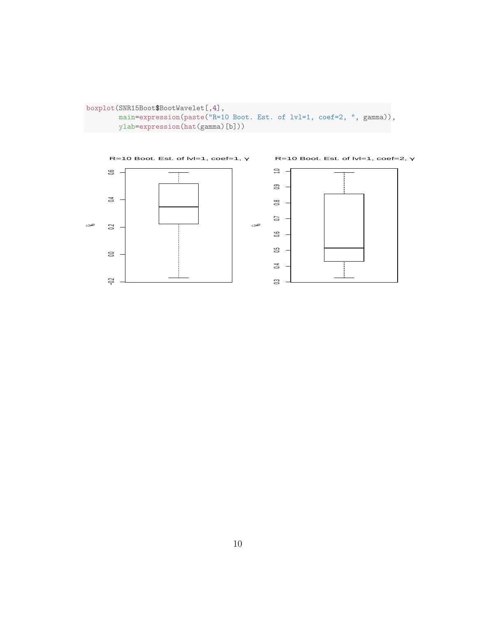```
boxplot(SNR15Boot$BootWavelet[,4],
       main=expression(paste("R=10 Boot. Est. of lvl=1, coef=2, ", gamma)),
       ylab=expression(hat(gamma)[b]))
```
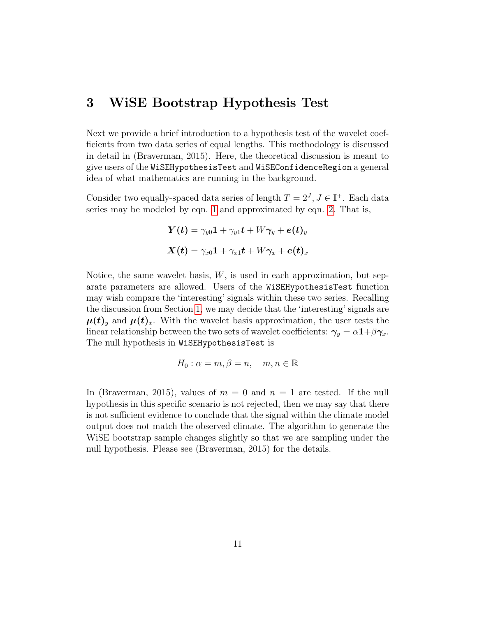#### 3 WiSE Bootstrap Hypothesis Test

Next we provide a brief introduction to a hypothesis test of the wavelet coefficients from two data series of equal lengths. This methodology is discussed in detail in (Braverman, 2015). Here, the theoretical discussion is meant to give users of the WiSEHypothesisTest and WiSEConfidenceRegion a general idea of what mathematics are running in the background.

Consider two equally-spaced data series of length  $T = 2<sup>J</sup>$ ,  $J \in \mathbb{I}^+$ . Each data series may be modeled by eqn. [1](#page-0-2) and approximated by eqn. [2.](#page-0-0) That is,

$$
\begin{array}{l} \boldsymbol{Y(t)} = \gamma_{y0}\boldsymbol{1} + \gamma_{y1}\boldsymbol{t} + W\boldsymbol{\gamma}_{y} + \boldsymbol{e(t)}_{y}\\ \boldsymbol{X(t)} = \gamma_{x0}\boldsymbol{1} + \gamma_{x1}\boldsymbol{t} + W\boldsymbol{\gamma}_{x} + \boldsymbol{e(t)}_{x} \end{array}
$$

Notice, the same wavelet basis,  $W$ , is used in each approximation, but separate parameters are allowed. Users of the WiSEHypothesisTest function may wish compare the 'interesting' signals within these two series. Recalling the discussion from Section [1,](#page-0-1) we may decide that the 'interesting' signals are  $\mu(t)_y$  and  $\mu(t)_x$ . With the wavelet basis approximation, the user tests the linear relationship between the two sets of wavelet coefficients:  $\gamma_y = \alpha \mathbf{1} + \beta \gamma_x$ . The null hypothesis in WiSEHypothesisTest is

$$
H_0: \alpha = m, \beta = n, \quad m, n \in \mathbb{R}
$$

In (Braverman, 2015), values of  $m = 0$  and  $n = 1$  are tested. If the null hypothesis in this specific scenario is not rejected, then we may say that there is not sufficient evidence to conclude that the signal within the climate model output does not match the observed climate. The algorithm to generate the WiSE bootstrap sample changes slightly so that we are sampling under the null hypothesis. Please see (Braverman, 2015) for the details.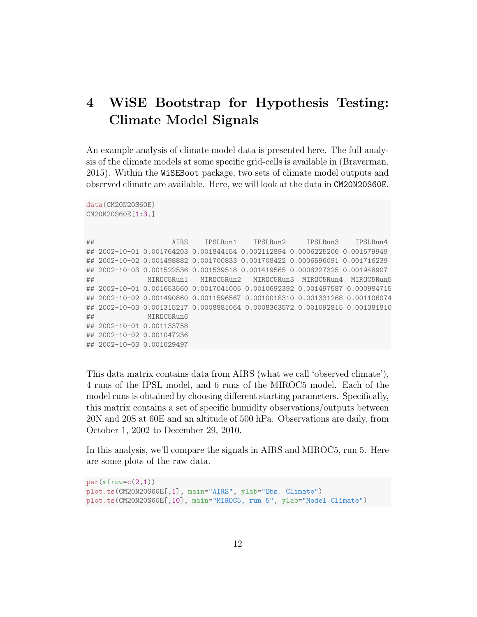## 4 WiSE Bootstrap for Hypothesis Testing: Climate Model Signals

An example analysis of climate model data is presented here. The full analysis of the climate models at some specific grid-cells is available in (Braverman, 2015). Within the WiSEBoot package, two sets of climate model outputs and observed climate are available. Here, we will look at the data in CM20N20S60E.

```
data(CM20N20S60E)
CM20N20S60E[1:3,]
```

```
## AIRS IPSLRun1 IPSLRun2 IPSLRun3 IPSLRun4
## 2002-10-01 0.001764203 0.001844154 0.002112894 0.0006225206 0.001579949
## 2002-10-02 0.001498882 0.001700833 0.001708422 0.0006596091 0.001716239
## 2002-10-03 0.001522536 0.001539518 0.001419565 0.0008227325 0.001948907
## MIROC5Run1 MIROC5Run2 MIROC5Run3 MIROC5Run4 MIROC5Run5
## 2002-10-01 0.001653560 0.0017041005 0.0010692392 0.001497587 0.000984715
## 2002-10-02 0.001490860 0.0011596567 0.0010018310 0.001331268 0.001106074
## 2002-10-03 0.001315217 0.0008881064 0.0008363572 0.001092815 0.001381810
## MIROC5Run6
## 2002-10-01 0.001133758
## 2002-10-02 0.001047236
## 2002-10-03 0.001029497
```
This data matrix contains data from AIRS (what we call 'observed climate'), 4 runs of the IPSL model, and 6 runs of the MIROC5 model. Each of the model runs is obtained by choosing different starting parameters. Specifically, this matrix contains a set of specific humidity observations/outputs between 20N and 20S at 60E and an altitude of 500 hPa. Observations are daily, from October 1, 2002 to December 29, 2010.

In this analysis, we'll compare the signals in AIRS and MIROC5, run 5. Here are some plots of the raw data.

```
par(mfrow=c(2,1))plot.ts(CM20N20S60E[,1], main="AIRS", ylab="Obs. Climate")
plot.ts(CM20N20S60E[,10], main="MIROC5, run 5", ylab="Model Climate")
```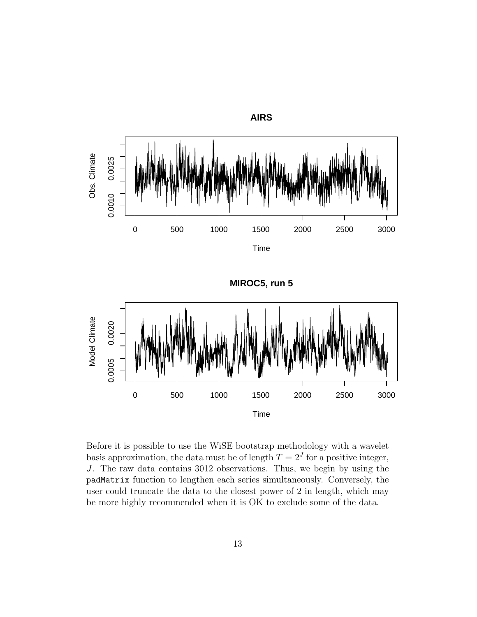

**MIROC5, run 5**



Before it is possible to use the WiSE bootstrap methodology with a wavelet basis approximation, the data must be of length  $T = 2<sup>J</sup>$  for a positive integer, J. The raw data contains 3012 observations. Thus, we begin by using the padMatrix function to lengthen each series simultaneously. Conversely, the user could truncate the data to the closest power of 2 in length, which may be more highly recommended when it is OK to exclude some of the data.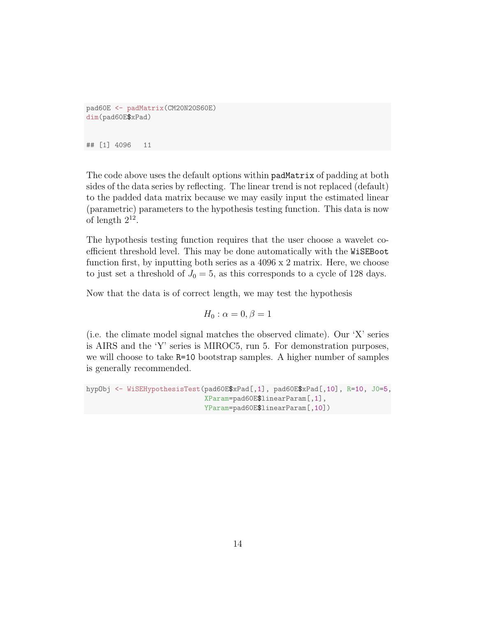```
pad60E <- padMatrix(CM20N20S60E)
dim(pad60E$xPad)
## [1] 4096 11
```
The code above uses the default options within padMatrix of padding at both sides of the data series by reflecting. The linear trend is not replaced (default) to the padded data matrix because we may easily input the estimated linear (parametric) parameters to the hypothesis testing function. This data is now of length  $2^{12}$ .

The hypothesis testing function requires that the user choose a wavelet coefficient threshold level. This may be done automatically with the WiSEBoot function first, by inputting both series as a 4096 x 2 matrix. Here, we choose to just set a threshold of  $J_0 = 5$ , as this corresponds to a cycle of 128 days.

Now that the data is of correct length, we may test the hypothesis

$$
H_0: \alpha = 0, \beta = 1
$$

(i.e. the climate model signal matches the observed climate). Our 'X' series is AIRS and the 'Y' series is MIROC5, run 5. For demonstration purposes, we will choose to take R=10 bootstrap samples. A higher number of samples is generally recommended.

```
hypObj <- WiSEHypothesisTest(pad60E$xPad[,1], pad60E$xPad[,10], R=10, J0=5,
                             XParam=pad60E$linearParam[,1],
                             YParam=pad60E$linearParam[,10])
```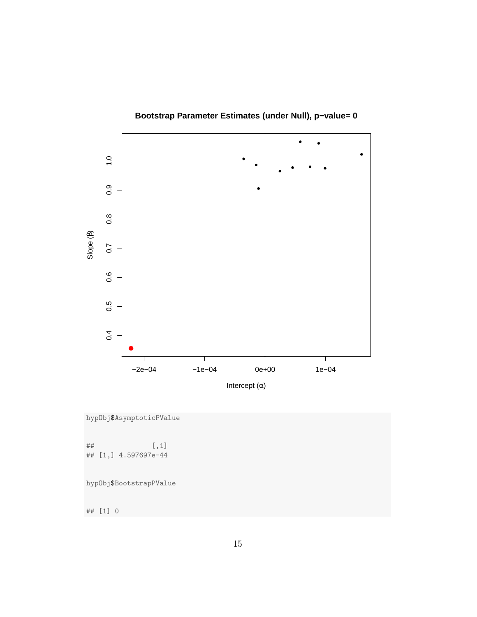

**Bootstrap Parameter Estimates (under Null), p−value= 0**

hypObj\$AsymptoticPValue

## [,1] ## [1,] 4.597697e-44

hypObj\$BootstrapPValue

## [1] 0